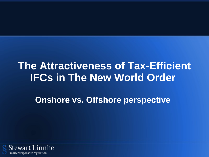# **The Attractiveness of Tax-Efficient IFCs in The New World Order**

**Onshore vs. Offshore perspective**

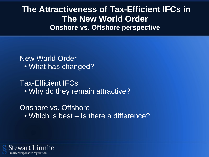**The Attractiveness of Tax-Efficient IFCs in The New World Order Onshore vs. Offshore perspective**

New World Order • What has changed?

Tax-Efficient IFCs • Why do they remain attractive?

Onshore vs. Offshore • Which is best – Is there a difference?

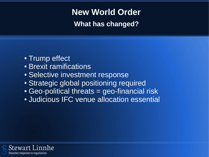## **New World Order**

**What has changed?**

- Trump effect
- Brexit ramifications
- Selective investment response
- Strategic global positioning required
- Geo-political threats = geo-financial risk
- Judicious IFC venue allocation essential

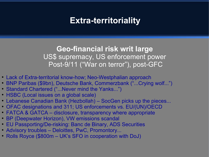### **Extra-territoriality**

**Geo-financial risk writ large** US\$ supremacy, US enforcement power Post-9/11 ("War on terror"), post-GFC

- Lack of Extra-territorial know-how; Neo-Westphalian approach
- BNP Paribas (\$9bn), Deutsche Bank, Commerzbank ("...Crying wolf...")
- Standard Chartered ("...Never mind the Yanks...")
- HSBC (Local issues on a global scale)
- Lebanese Canadian Bank (Hezbollah) SocGen picks up the pieces...
- OFAC designations and 311; US enforcements vs. EU/(UN)/OECD
- FATCA & GATCA disclosure, transparency where appropriate
- BP (Deepwater Horizon), VW emissions scandal
- EU Passporting/De-risking: Banc de Binary, ADS Securities
- Advisory troubles Deloittes, PwC, Promontory...
- Rolls Royce (\$800m UK's SFO in cooperation with DoJ)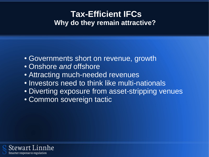### **Tax-Efficient IFCs Why do they remain attractive?**

- Governments short on revenue, growth
- Onshore *and* offshore
- Attracting much-needed revenues
- Investors need to think like multi-nationals
- Diverting exposure from asset-stripping venues
- Common sovereign tactic

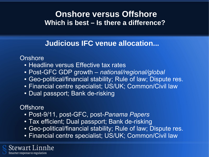#### **Onshore versus Offshore Which is best – Is there a difference?**

#### **Judicious IFC venue allocation...**

**Onshore** 

- Headline versus Effective tax rates
- Post-GFC GDP growth *national/regional/global*
- Geo-political/financial stability; Rule of law; Dispute res.
- Financial centre specialist; US/UK; Common/Civil law
- Dual passport; Bank de-risking

#### **Offshore**

- Post-9/11, post-GFC, post-*Panama Papers*
- Tax efficient; Dual passport; Bank de-risking
- Geo-political/financial stability; Rule of law; Dispute res.
- Financial centre specialist; US/UK; Common/Civil law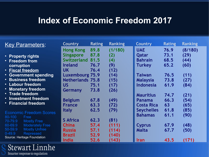### **Index of Economic Freedom 2017**

| <b>Key Parameters:</b>                                        | <b>Country</b>          | <b>Rating</b> | <b>Ranking</b> | <b>Country</b>    | <b>Rating</b> | <b>Ranking</b> |
|---------------------------------------------------------------|-------------------------|---------------|----------------|-------------------|---------------|----------------|
|                                                               | <b>Hong Kong</b>        | 89.8          | (1/180)        | <b>UAE</b>        | 76.9          | (8/180)        |
| • Property rights                                             | <b>Singapore</b>        | 87.8          | (2)            | Qatar             | 73.1          | (29)           |
| • Freedom from                                                | <b>Switzerland</b>      | 81.5          | (4)            | <b>Bahrain</b>    | 68.5          | (44)           |
| corruption                                                    | <b>Ireland</b>          | 76.7          | (9)            | Turkey            | 65.2          | (60)           |
| • Fiscal freedom                                              | <b>UK</b>               | 76.4          | (12)           |                   |               |                |
| • Government spending                                         | <b>Luxembourg 75.9</b>  |               | (14)           | Taiwan            | 76.5          | (11)           |
| <b>• Business freedom</b>                                     | <b>Netherlands 75.8</b> |               | (15)           | <b>Malaysia</b>   | 73.8          | (27)           |
| • Labour freedom                                              | <b>US</b>               | 75.1          | (17)           | <b>Indonesia</b>  | 61.9          | (84)           |
| • Monetary freedom                                            | Germany                 | 73.8          | (26)           |                   |               |                |
| • Trade freedom                                               |                         |               |                | <b>Mauritius</b>  | 74.7          | (21)           |
| • Investment freedom                                          | <b>Belgium</b>          | 67.8          | (49)           | Panama            | 66.3          | (54)           |
| • Financial freedom                                           | <b>France</b>           | 63.3          | (72)           | <b>Costa Rica</b> | 63            | (65)           |
| <b>Economic Freedom Scores</b>                                | <b>Italy</b>            | 62.5          | (79)           | <b>Seychelles</b> | 61.8          | (85)           |
| 80-100<br>Free                                                |                         |               |                | <b>Bahamas</b>    | 61.1          | (90)           |
| 70-79.9<br><b>Mostly Free</b>                                 | <b>S</b> Africa         | 62.3          | (81)           |                   |               |                |
| 60-69.9<br><b>Moderately Free</b>                             | <b>China</b>            | 57.4          | (111)          | <b>Cyprus</b>     | 67.9          | (48)           |
| <b>Mostly Unfree</b><br>50-59.9                               | <b>Russia</b>           | 57.1          | (114)          | Malta             | 67.7          | (50)           |
| <b>Repressed</b><br>$0 - 49.9$<br>Source: Heritage Foundation | <b>Brazil</b>           | 52.9          | (140)          |                   |               |                |
|                                                               | <b>India</b>            | 52.6          | (143)          | Iran              | 43.5          | (171)          |

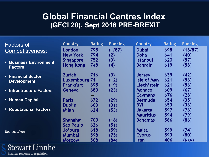#### **Global Financial Centres Index (GFCI 20), Sept 2016 PRE-BREXIT**

| <b>Factors of</b>               | <b>Country</b>        | <b>Rating</b> | <b>Ranking</b> | <b>Country</b>     | <b>Rating</b> | <b>Ranking</b> |
|---------------------------------|-----------------------|---------------|----------------|--------------------|---------------|----------------|
| Competitiveness:                | London                | 795           | (1/87)         | <b>Dubai</b>       | 698           | (18/87)        |
|                                 | <b>New York</b>       | 794           | (2)            | Doha               | 641           | (40)           |
| <b>• Business Environment</b>   | <b>Singapore</b>      | 752           | (3)            | <b>Istanbul</b>    | 620           | (57)           |
| <b>Factors</b>                  | <b>Hong Kong</b>      | 748           | (4)            | <b>Bahrain</b>     | 619           | (58)           |
| • Financial Sector              | <b>Zurich</b>         | 716           | (9)            | <b>Jersey</b>      | 639           | (42)           |
| <b>Development</b>              | <b>Luxembourg 711</b> |               | (12)           | <b>Isle of Man</b> | 621           | (56)           |
|                                 | <b>Frankfurt</b>      | 695           | (19)           | Liech'stein        | 621           | (56)           |
| <b>• Infrastructure Factors</b> | Geneva                | 689           | (23)           | <b>Monaco</b>      | 609           | (67)           |
|                                 |                       |               |                | <b>Caymans</b>     | 676           | (28)           |
| • Human Capital                 | <b>Paris</b>          | 672           | (29)           | <b>Bermuda</b>     | 654           | (35)           |
|                                 | <b>Dublin</b>         | 663           | (31)           | <b>BVI</b>         | 653           | (36)           |
| • Reputational Factors          | <b>Milan</b>          | 624           | (53)           | <b>Jakarta</b>     | 597           | (76)           |
|                                 |                       |               |                | <b>Mauritius</b>   | 594           | (79)           |
|                                 | <b>Shanghai</b>       | 700           | (16)           | <b>Bahamas</b>     | 566           | (86)           |
|                                 | Sao Paulo             | 626           | (51)           |                    |               |                |
| Source: z/Yen                   | Jo'burg               | 618           | (59)           | Malta              | 599           | (74)           |
|                                 | <b>Mumbai</b>         | 598           | (75)           | <b>Cyprus</b>      | 593           | (80)           |
|                                 | <b>MOSCOW</b>         | 568           | (84)           | Iran               | 406           | (N/A)          |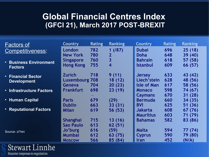#### **Global Financial Centres Index (GFCI 21), March 2017 POST-BREXIT**

| <b>Factors of</b>               | <b>Country</b>        | <b>Rating</b> | <b>Ranking</b>          | <b>Country</b>     | <b>Rating</b> | <b>Ranking</b> |
|---------------------------------|-----------------------|---------------|-------------------------|--------------------|---------------|----------------|
| Competitiveness:                | London                | 782           | 1(787)                  | <b>Dubai</b>       | 696           | 25(18)         |
|                                 | <b>New York</b>       | 780           | $\overline{2}$          | Doha               | 648           | 39 (40)        |
| <b>• Business Environment</b>   | <b>Singapore</b>      | 760           | $\overline{\mathbf{3}}$ | <b>Bahrain</b>     | 618           | 57 (58)        |
| <b>Factors</b>                  | <b>Hong Kong</b>      | 755           | $\overline{4}$          | Istanbul           | 609           | 66 (57)        |
| • Financial Sector              | <b>Zurich</b>         | 718           | 9(11)                   | <b>Jersey</b>      | 633           | 43 (42)        |
| <b>Development</b>              | <b>Luxembourg 708</b> |               | 18 (12)                 | Liech'stein        | 628           | 48 (56)        |
|                                 | Geneva                | 704           | 20(23)                  | <b>Isle of Man</b> | 617           | 58 (56)        |
| <b>• Infrastructure Factors</b> | <b>Frankfurt</b>      | 698           | 23(19)                  | <b>Monaco</b>      | 598           | 74 (67)        |
|                                 |                       |               |                         | <b>Caymans</b>     | 670           | 31 (28)        |
| • Human Capital                 | <b>Paris</b>          | 679           | (29)                    | <b>Bermuda</b>     | 660           | 34 (35)        |
|                                 | <b>Dublin</b>         | 663           | 33 (31)                 | <b>BVI</b>         | 625           | 51 (36)        |
| • Reputational Factors          | <b>Milan</b>          | 619           | 56 (53)                 | <b>Jakarta</b>     | 608           | 67 (76)        |
|                                 |                       |               |                         | <b>Mauritius</b>   | 603           | 71 (79)        |
|                                 | <b>Shanghai</b>       | 715           | 13(16)                  | <b>Bahamas</b>     | 582           | 83 (86)        |
|                                 | Sao Paulo             | 613           | 62 (51)                 |                    |               |                |
| Source: z/Yen                   | Jo'burg               | 616           | (59)                    | Malta              | 594           | 77 (74)        |
|                                 | <b>Mumbai</b>         | 612           | 63 (75)                 | <b>Cyprus</b>      | 590           | 79 (80)        |
|                                 | <b>MOSCOW</b>         | 566           | 85 (84)                 | Iran               | 452           | (N/A)          |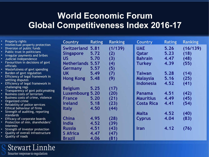### **World Economic Forum Global Competitiveness Index 2016-17**

|                        | • Property rights                                             | <b>Country</b>          | <b>Rating</b> | <b>Ranking</b> | <b>Country</b>    | <b>Rating</b> | <b>Ranking</b> |
|------------------------|---------------------------------------------------------------|-------------------------|---------------|----------------|-------------------|---------------|----------------|
| $\bullet$<br>$\bullet$ | Intellectual property protection<br>Diversion of public funds | <b>Switzerland 5.81</b> |               | (1/139)        | <b>UAE</b>        | 5.26          | (16/139)       |
| $\bullet$              | Public trust in politicians                                   | <b>Singapore</b>        | 5.72          | (2)            | Qatar             | 5.23          | (18)           |
| $\bullet$              | Irregular payments and bribes                                 | <b>US</b>               | 5.70          |                | <b>Bahrain</b>    | 4.47          | (48)           |
| $\bullet$<br>$\bullet$ | Judicial independence<br>Favouritism in decisions of govt     |                         |               | (3)            |                   |               |                |
|                        | <b>officials</b>                                              | <b>Netherlands 5.57</b> |               | (4)            | <b>Turkey</b>     | 4.39          | (55)           |
|                        | • Wastefulness of govt spending                               | Germany                 | 5.57          | (5)            |                   |               |                |
|                        | • Burden of govt regulation                                   | <b>UK</b>               | 5.49          | (7)            | <b>Taiwan</b>     | 5.28          | (14)           |
| $\bullet$              | Efficiency of legal framework in<br>settling disputes         | <b>Hong Kong</b>        | 5.48          | (9)            | <b>Malaysia</b>   | 5.16          | (25)           |
|                        | • Efficiency of legal framework in                            |                         |               |                | <b>Indonesia</b>  | 4.52          | (41)           |
|                        | challenging regs                                              | <b>Belgium</b>          | 5.25          | (17)           |                   |               |                |
|                        | • Transparency of govt policymaking                           |                         |               |                |                   |               |                |
| $\bullet$              | <b>Business costs of terrorism</b>                            | <b>Luxembourg 5.20</b>  |               | (20)           | Panama            | 4.51          | (42)           |
|                        | Business costs of crime, violence<br>• Organized crime        | <b>France</b>           | 5.20          | (21)           | <b>Mauritius</b>  | 4.49          | (45)           |
|                        | Reliability of police services                                | <b>Ireland</b>          | 5.18          | (23)           | <b>Costa Rica</b> | 4.41          | (54)           |
| $\bullet$              | Ethical behaviour of firms                                    | <b>Italy</b>            | 4.50          | (44)           |                   |               |                |
|                        | Strength of auditing, reporting                               |                         |               |                | Malta             | 4.52          | (40)           |
| $\bullet$              | standards<br>Efficacy of corporate boards                     | <b>China</b>            | 4.95          | (28)           | <b>Cyprus</b>     | 4.04          | (83)           |
| $\bullet$              | Protection of min. shareholders'                              | India                   |               |                |                   |               |                |
|                        | <i>interests</i>                                              |                         | 4.52          | (39)           |                   |               |                |
|                        | • Strength of investor protection                             | <b>Russia</b>           | 4.51          | (43)           | <b>Iran</b>       | 4.12          | (76)           |
| $\bullet$              | Quality of overall infrastructure                             | <b>S</b> Africa         | 4.47          | (47)           |                   |               |                |
|                        | Quality of roads                                              | Brazil                  | 4.06          | (81)           |                   |               |                |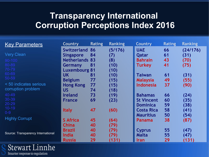### **Transparency International Corruption Perceptions Index 2016**

| <b>Key Parameters</b>              | <b>Country</b>        | <b>Rating</b> | <b>Ranking</b> | <b>Country</b>    | <b>Rating</b> | <b>Ranking</b> |
|------------------------------------|-----------------------|---------------|----------------|-------------------|---------------|----------------|
|                                    | <b>Switzerland</b>    | 86            | (5/176)        | <b>UAE</b>        | 66            | (24/176)       |
| <b>Very Clean</b>                  | <b>Singapore</b>      | 84            | (7)            | Qatar             | 61            | (31)           |
| 90-100                             | <b>Netherlands 83</b> |               | (8)            | <b>Bahrain</b>    | 43            | (70)           |
| 80-89                              | Germany               | 81            | (10)           | Turkey            | 41            | (75)           |
| 70-79                              | <b>Luxembourg 81</b>  |               | (10)           |                   |               |                |
| 60-69                              | <b>UK</b>             | 81            | (10)           | Taiwan            | 61            | (31)           |
| 50-59                              | <b>Belgium</b>        | 77            | (15)           | <b>Malaysia</b>   | 49            | (55)           |
| < 50 indicates serious             | <b>Hong Kong</b>      | 77            | (15)           | <b>Indonesia</b>  | 37            | (90)           |
| corruption problem                 | <b>US</b>             | 74            | (18)           |                   |               |                |
| 40-49                              | <b>Ireland</b>        | 73            | (19)           | <b>Bahamas</b>    | 66            | (24)           |
| 30-39                              | <b>France</b>         | 69            | (23)           | <b>St Vincent</b> | 60            | (35)           |
| 20-29                              |                       |               |                | <b>Dominica</b>   | 59            | (38)           |
| $10 - 19$                          | <b>Italy</b>          | 47            | (60)           | <b>Costa Rica</b> | 58            | (41)           |
| $0 - 9$                            |                       |               |                | <b>Mauritius</b>  | 50            | (54)           |
| <b>Highly Corrupt</b>              | <b>S</b> Africa       | 45            | (64)           | Panama            | 38            | (87)           |
|                                    | <b>China</b>          | 40            | (79)           |                   |               |                |
|                                    | <b>Brazil</b>         | 40            | (79)           | <b>Cyprus</b>     | 55            | (47)           |
| Source: Transparency International | India                 | 40            | (79)           | Malta             | 55            | (47)           |
|                                    | <b>Russia</b>         | 29            | (131)          | Iran              | 29            | (131)          |

**Stewart Linnhe** 

Smarter response to regulation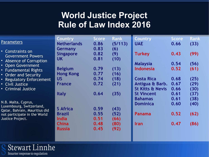### **World Justice Project Rule of Law Index 2016**

| <b>Parameters</b>                                                                    | <b>Country</b><br><b>Netherlands</b>     | <b>Score</b><br>0.86 | <b>Rank</b><br>(5/113) | <b>Country</b><br><b>UAE</b> | <b>Score</b><br>0.66 | <b>Rank</b><br>(33) |
|--------------------------------------------------------------------------------------|------------------------------------------|----------------------|------------------------|------------------------------|----------------------|---------------------|
| Constraints on<br>$\bullet$ .<br><b>Government Powers</b><br>• Absence of Corruption | Germany<br><b>Singapore</b><br><b>UK</b> | 0.83<br>0.82<br>0.81 | (6)<br>(9)<br>(10)     | <b>Turkey</b>                | 0.43                 | (99)                |
| • Open Government                                                                    |                                          |                      |                        | <b>Malaysia</b>              | 0.54                 | (56)                |
| • Fundamental Rights                                                                 | <b>Belgium</b>                           | 0.79                 | (13)                   | <b>Indonesia</b>             | 0.52                 | (61)                |
| • Order and Security                                                                 | <b>Hong Kong</b>                         | 0.77                 | (16)                   |                              |                      |                     |
| • Regulatory Enforcement                                                             | <b>US</b>                                | 0.74                 | (18)                   | <b>Costa Rica</b>            | 0.68                 | (25)                |
| • Civil Justice                                                                      | <b>France</b>                            | 0.72                 | (21)                   | Antigua & Barb.              | 0.67                 | (29)                |
| • Criminal Justice                                                                   |                                          |                      |                        | <b>St Kitts &amp; Nevis</b>  | 0.66                 | (30)                |
|                                                                                      | <b>Italy</b>                             | 0.64                 | (35)                   | <b>St Vincent</b>            | 0.61                 | (37)                |
|                                                                                      |                                          |                      |                        | <b>Bahamas</b>               | 0.61                 | (38)                |
| N.B. Malta, Cyprus,                                                                  |                                          |                      |                        | <b>Dominica</b>              | 0.60                 | (40)                |
| Luxembourg, Switzerland,                                                             | <b>S</b> Africa                          | 0.59                 | (43)                   |                              |                      |                     |
| Qatar, Bahrain, Mauritius did<br>not participate in the World                        | <b>Brazil</b>                            | 0.55                 | (52)                   | <b>Panama</b>                | 0.52                 | (62)                |
| Justice Project.                                                                     | <b>India</b>                             | 0.51                 | (66)                   |                              |                      |                     |
|                                                                                      | <b>China</b>                             | 0.48                 | (80)                   | <b>Iran</b>                  | 0.47                 | (86)                |
|                                                                                      | Russia                                   | 0.45                 | (92)                   |                              |                      |                     |
|                                                                                      |                                          |                      |                        |                              |                      |                     |

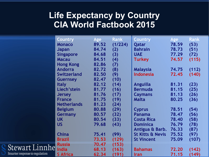### **Life Expectancy by Country CIA World Factbook 2015**

|              | <b>Country</b>     | <b>Age</b> | <b>Rank</b> | Country                     | Age   | <b>Rank</b> |
|--------------|--------------------|------------|-------------|-----------------------------|-------|-------------|
|              | <b>Monaco</b>      | 89.52      | (1/224)     | Qatar                       | 78.59 | (53)        |
|              | Japan              | 84.74      | (2)         | <b>Bahrain</b>              | 78.73 | (51)        |
|              | <b>Singapore</b>   | 84.68      | (3)         | <b>UAE</b>                  | 77.29 | (72)        |
|              | <b>Macau</b>       | 84.51      | (4)         | <b>Turkey</b>               | 74.57 | (115)       |
|              | <b>Hong Kong</b>   | 82.86      | (7)         |                             |       |             |
|              | <b>Andorra</b>     | 82.72      | (8)         | <b>Malaysia</b>             | 74.75 | (112)       |
|              | <b>Switzerland</b> | 82.50      | (9)         | <b>Indonesia</b>            | 72.45 | (140)       |
|              | <b>Guernsey</b>    | 82.47      | (10)        |                             |       |             |
|              | <b>Italy</b>       | 82.12      | (14)        | Anguilla                    | 81.31 | (23)        |
|              | Liech'stein        | 81.77      | (16)        | <b>Bermuda</b>              | 81.15 | (25)        |
|              | <b>Jersey</b>      | 81.76      | (17)        | <b>Caymans</b>              | 81.13 | (26)        |
|              | <b>France</b>      | 81.75      | (19)        | Malta                       | 80.25 | (36)        |
|              | <b>Netherlands</b> | 81.23      | (24)        |                             |       |             |
|              | <b>Belgium</b>     | 80.88      | (29)        | <b>Cyprus</b>               | 78.51 | (54)        |
|              | Germany            | 80.57      | (32)        | <b>Panama</b>               | 78.47 | (56)        |
|              | <b>UK</b>          | 80.54      | (33)        | <b>Costa Rica</b>           | 78.40 | (58)        |
|              | <b>US</b>          | 79.68      | (43)        | <b>Dominica</b>             | 76.79 | (78)        |
|              |                    |            |             | Antigua & Barb.             | 76.33 | (87)        |
|              | <b>China</b>       | 75.41      | (99)        | <b>St Kitts &amp; Nevis</b> | 75.52 | (97)        |
|              | <b>Brazil</b>      | 73.53      | (129)       | <b>St Vincent</b>           | 75.09 | (107)       |
|              | <b>Russia</b>      | 70.47      | (153)       |                             |       |             |
| Linnhe       | <b>India</b>       | 68.13      | (163)       | <b>Bahamas</b>              | 72.20 | (142)       |
| o regulation | <b>S</b> Africa    | 62.34      | (191)       | <b>Iran</b>                 | 71.15 | (149)       |

Stewart

Smarter response t